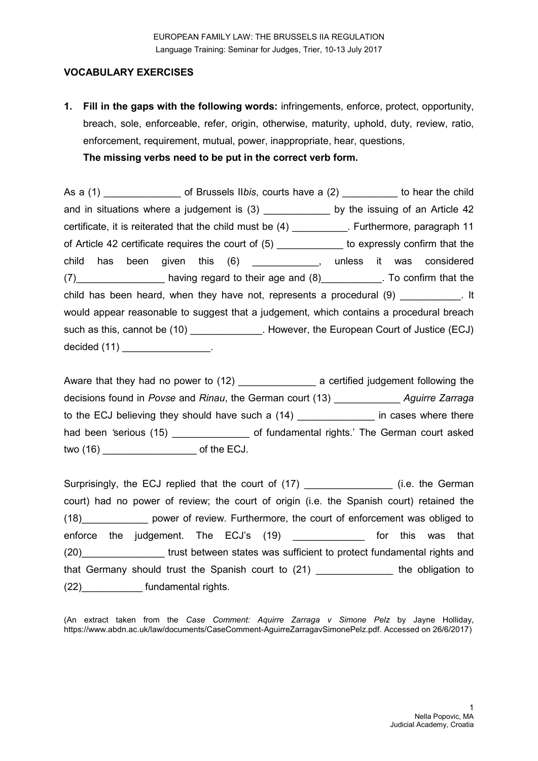# **VOCABULARY EXERCISES**

**1. Fill in the gaps with the following words:** infringements, enforce, protect, opportunity, breach, sole, enforceable, refer, origin, otherwise, maturity, uphold, duty, review, ratio, enforcement, requirement, mutual, power, inappropriate, hear, questions, **The missing verbs need to be put in the correct verb form.**

As a (1) **be also contract in Section 11 of Brussels IIbis**, courts have a (2) **b** to hear the child and in situations where a judgement is (3) by the issuing of an Article 42 certificate, it is reiterated that the child must be (4) \_\_\_\_\_\_\_\_\_\_. Furthermore, paragraph 11 of Article 42 certificate requires the court of (5) \_\_\_\_\_\_\_\_\_\_\_\_ to expressly confirm that the child has been given this (6) \_\_\_\_\_\_\_\_\_\_\_\_, unless it was considered (7) having regard to their age and (8) To confirm that the child has been heard, when they have not, represents a procedural (9) Theorem 2011 would appear reasonable to suggest that a judgement, which contains a procedural breach such as this, cannot be (10) \_\_\_\_\_\_\_\_\_\_\_\_\_. However, the European Court of Justice (ECJ) decided (11) \_\_\_\_\_\_\_\_\_\_\_\_\_\_\_\_\_.

Aware that they had no power to (12) \_\_\_\_\_\_\_\_\_\_\_\_\_\_\_\_\_ a certified judgement following the decisions found in *Povse* and *Rinau*, the German court (13) \_\_\_\_\_\_\_\_\_\_\_\_ *Aguirre Zarraga*  to the ECJ believing they should have such a (14) in cases where there had been 'serious (15) **with a controlled a controlled a** of fundamental rights.' The German court asked two (16) control two (16)

Surprisingly, the ECJ replied that the court of (17) \_\_\_\_\_\_\_\_\_\_\_\_\_\_\_\_\_\_\_\_(i.e. the German court) had no power of review; the court of origin (i.e. the Spanish court) retained the (18)\_\_\_\_\_\_\_\_\_\_\_\_ power of review. Furthermore, the court of enforcement was obliged to enforce the judgement. The ECJ's (19) **ECLE 10** for this was that (20)\_\_\_\_\_\_\_\_\_\_\_\_\_\_\_ trust between states was sufficient to protect fundamental rights and that Germany should trust the Spanish court to (21) \_\_\_\_\_\_\_\_\_\_\_\_\_\_ the obligation to (22)\_\_\_\_\_\_\_\_\_\_\_ fundamental rights.

(An extract taken from the *Case Comment: Aquirre Zarraga v Simone Pelz* by Jayne Holliday, [https://www.abdn.ac.uk/law/documents/CaseComment-AguirreZarragavSimonePelz.pdf.](https://www.abdn.ac.uk/law/documents/CaseComment-AguirreZarragavSimonePelz.pdf) Accessed on 26/6/2017)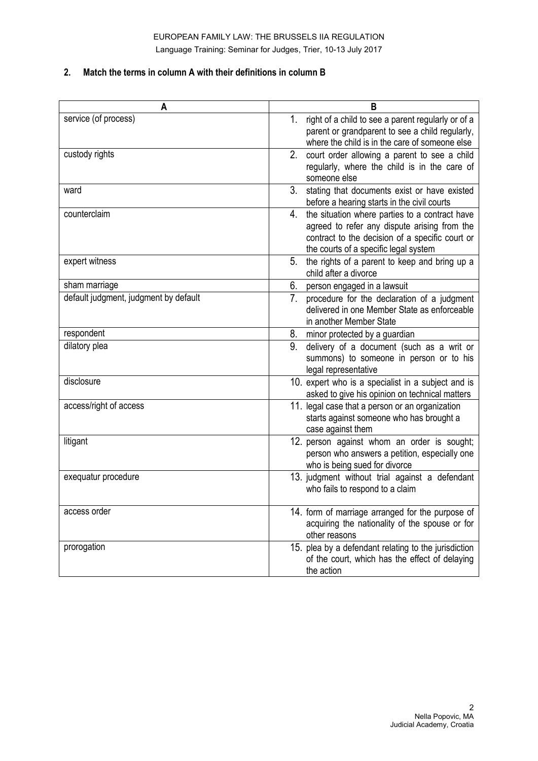#### **2. Match the terms in column A with their definitions in column B**

| A                                     | в                                                                                                                                                                                                |
|---------------------------------------|--------------------------------------------------------------------------------------------------------------------------------------------------------------------------------------------------|
| service (of process)                  | right of a child to see a parent regularly or of a<br>1.<br>parent or grandparent to see a child regularly,<br>where the child is in the care of someone else                                    |
| custody rights                        | 2.<br>court order allowing a parent to see a child<br>regularly, where the child is in the care of<br>someone else                                                                               |
| ward                                  | 3.<br>stating that documents exist or have existed<br>before a hearing starts in the civil courts                                                                                                |
| counterclaim                          | the situation where parties to a contract have<br>4.<br>agreed to refer any dispute arising from the<br>contract to the decision of a specific court or<br>the courts of a specific legal system |
| expert witness                        | the rights of a parent to keep and bring up a<br>5.<br>child after a divorce                                                                                                                     |
| sham marriage                         | 6.<br>person engaged in a lawsuit                                                                                                                                                                |
| default judgment, judgment by default | 7.<br>procedure for the declaration of a judgment<br>delivered in one Member State as enforceable<br>in another Member State                                                                     |
| respondent                            | 8. minor protected by a guardian                                                                                                                                                                 |
| dilatory plea                         | 9.<br>delivery of a document (such as a writ or<br>summons) to someone in person or to his<br>legal representative                                                                               |
| disclosure                            | 10. expert who is a specialist in a subject and is<br>asked to give his opinion on technical matters                                                                                             |
| access/right of access                | 11. legal case that a person or an organization<br>starts against someone who has brought a<br>case against them                                                                                 |
| litigant                              | 12. person against whom an order is sought;<br>person who answers a petition, especially one<br>who is being sued for divorce                                                                    |
| exequatur procedure                   | 13. judgment without trial against a defendant<br>who fails to respond to a claim                                                                                                                |
| access order                          | 14. form of marriage arranged for the purpose of<br>acquiring the nationality of the spouse or for<br>other reasons                                                                              |
| prorogation                           | 15. plea by a defendant relating to the jurisdiction<br>of the court, which has the effect of delaying<br>the action                                                                             |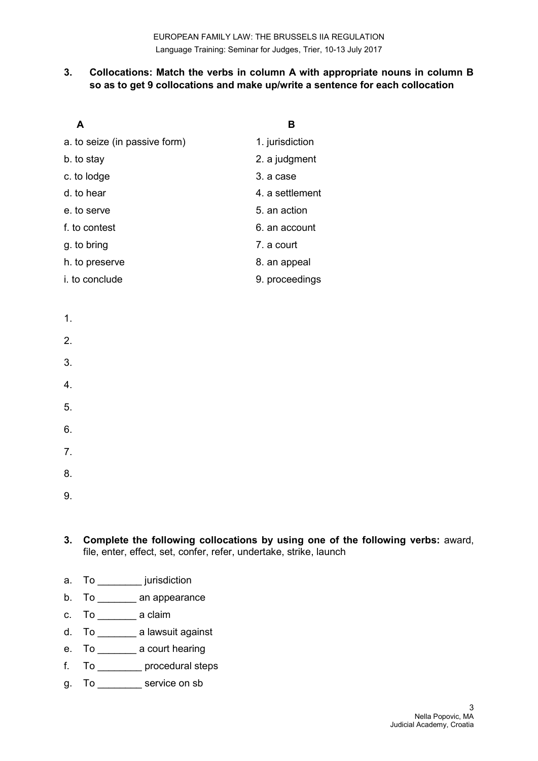### **3. Collocations: Match the verbs in column A with appropriate nouns in column B so as to get 9 collocations and make up/write a sentence for each collocation**

| A                             | в               |
|-------------------------------|-----------------|
| a. to seize (in passive form) | 1. jurisdiction |
| b. to stay                    | 2. a judgment   |
| c. to lodge                   | 3. a case       |
| d. to hear                    | 4. a settlement |
| e, to serve                   | 5, an action    |
| f. to contest                 | 6. an account   |
| g. to bring                   | 7. a court      |
| h. to preserve                | 8. an appeal    |
| i. to conclude                | 9. proceedings  |

| ٠ |  |
|---|--|
|   |  |

#### 2.

- 3.
- 4.
- 5.
- 6.
- 7.
- 8.
- 

9.

- **3. Complete the following collocations by using one of the following verbs:** award, file, enter, effect, set, confer, refer, undertake, strike, launch
- a. To \_\_\_\_\_\_\_\_\_ jurisdiction
- b. To an appearance
- c. To \_\_\_\_\_\_\_ a claim
- d. To \_\_\_\_\_\_\_ a lawsuit against
- e. To \_\_\_\_\_\_\_ a court hearing
- f. To \_\_\_\_\_\_\_\_ procedural steps
- g. To \_\_\_\_\_\_\_\_ service on sb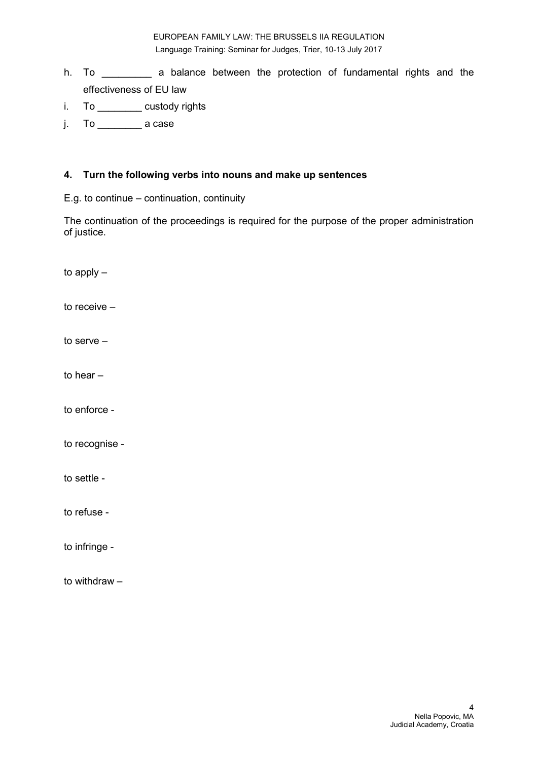EUROPEAN FAMILY LAW: THE BRUSSELS IIA REGULATION Language Training: Seminar for Judges, Trier, 10-13 July 2017

- h. To \_\_\_\_\_\_\_\_\_ a balance between the protection of fundamental rights and the effectiveness of EU law
- i. To \_\_\_\_\_\_\_\_ custody rights
- j. To \_\_\_\_\_\_\_\_ a case

#### **4. Turn the following verbs into nouns and make up sentences**

E.g. to continue – continuation, continuity

The continuation of the proceedings is required for the purpose of the proper administration of justice.

to apply – to receive – to serve – to hear – to enforce to recognise to settle to refuse to infringe -

to withdraw –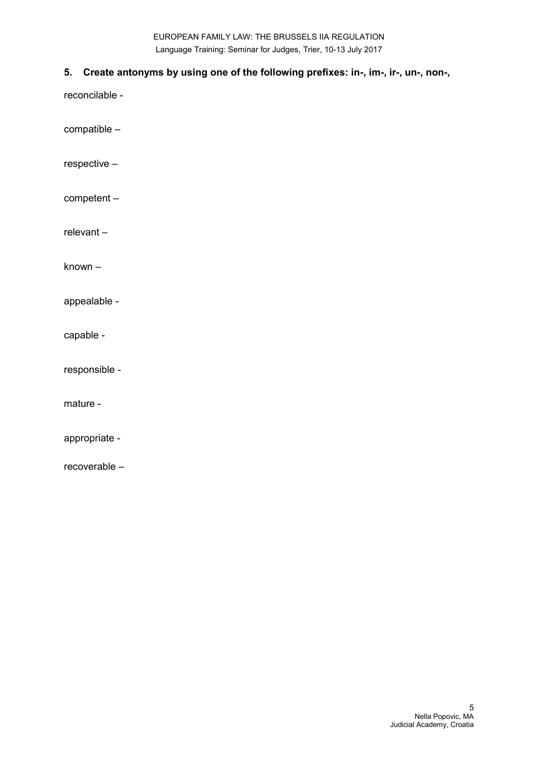EUROPEAN FAMILY LAW: THE BRUSSELS IIA REGULATION Language Training: Seminar for Judges, Trier, 10-13 July 2017

### **5. Create antonyms by using one of the following prefixes: in-, im-, ir-, un-, non-,**

reconcilable -

compatible –

respective –

competent –

relevant –

known –

appealable -

capable -

responsible -

mature -

appropriate -

recoverable –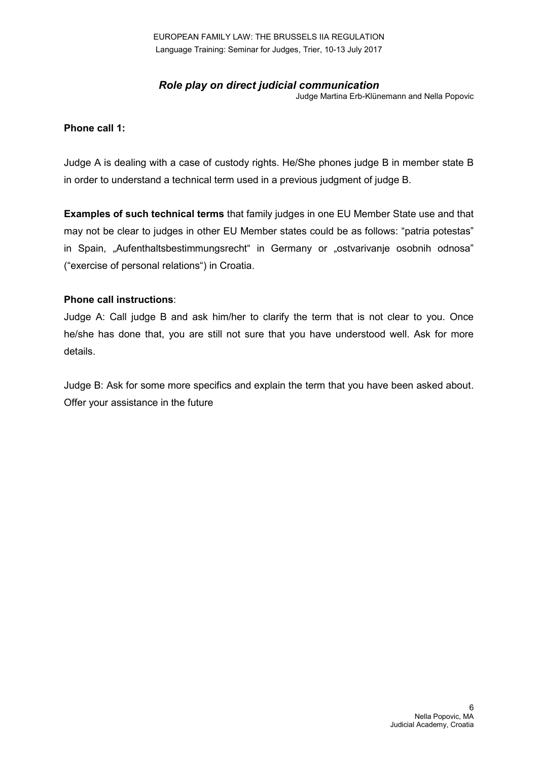EUROPEAN FAMILY LAW: THE BRUSSELS IIA REGULATION Language Training: Seminar for Judges, Trier, 10-13 July 2017

# *Role play on direct judicial communication*

Judge Martina Erb-Klünemann and Nella Popovic

#### **Phone call 1:**

Judge A is dealing with a case of custody rights. He/She phones judge B in member state B in order to understand a technical term used in a previous judgment of judge B.

**Examples of such technical terms** that family judges in one EU Member State use and that may not be clear to judges in other EU Member states could be as follows: "patria potestas" in Spain, "Aufenthaltsbestimmungsrecht" in Germany or "ostvarivanje osobnih odnosa" ("exercise of personal relations") in Croatia.

### **Phone call instructions**:

Judge A: Call judge B and ask him/her to clarify the term that is not clear to you. Once he/she has done that, you are still not sure that you have understood well. Ask for more details.

Judge B: Ask for some more specifics and explain the term that you have been asked about. Offer your assistance in the future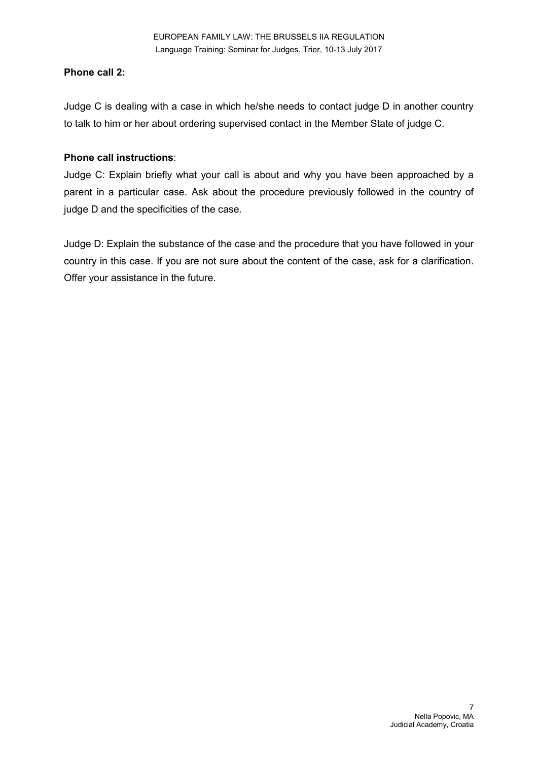# **Phone call 2:**

Judge C is dealing with a case in which he/she needs to contact judge D in another country to talk to him or her about ordering supervised contact in the Member State of judge C.

# **Phone call instructions**:

Judge C: Explain briefly what your call is about and why you have been approached by a parent in a particular case. Ask about the procedure previously followed in the country of judge D and the specificities of the case.

Judge D: Explain the substance of the case and the procedure that you have followed in your country in this case. If you are not sure about the content of the case, ask for a clarification. Offer your assistance in the future.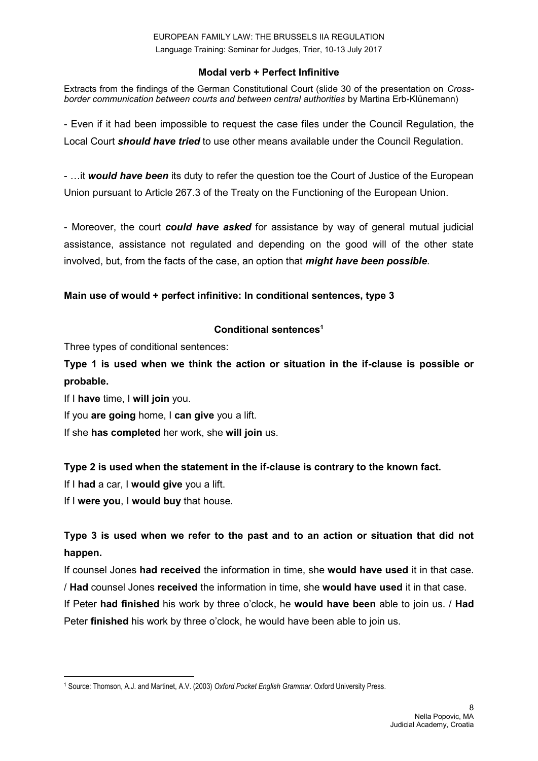### **Modal verb + Perfect Infinitive**

Extracts from the findings of the German Constitutional Court (slide 30 of the presentation on *Crossborder communication between courts and between central authorities* by Martina Erb-Klünemann)

- Even if it had been impossible to request the case files under the Council Regulation, the Local Court *should have tried* to use other means available under the Council Regulation.

- …it *would have been* its duty to refer the question toe the Court of Justice of the European Union pursuant to Article 267.3 of the Treaty on the Functioning of the European Union.

- Moreover, the court *could have asked* for assistance by way of general mutual judicial assistance, assistance not regulated and depending on the good will of the other state involved, but, from the facts of the case, an option that *might have been possible*.

### **Main use of would + perfect infinitive: In conditional sentences, type 3**

# **Conditional sentences<sup>1</sup>**

Three types of conditional sentences:

**Type 1 is used when we think the action or situation in the if-clause is possible or probable.**

If I **have** time, I **will join** you.

If you **are going** home, I **can give** you a lift.

If she **has completed** her work, she **will join** us.

### **Type 2 is used when the statement in the if-clause is contrary to the known fact.**

If I **had** a car, I **would give** you a lift.

If I **were you**, I **would buy** that house.

# **Type 3 is used when we refer to the past and to an action or situation that did not happen.**

If counsel Jones **had received** the information in time, she **would have used** it in that case. / **Had** counsel Jones **received** the information in time, she **would have used** it in that case.

If Peter **had finished** his work by three o'clock, he **would have been** able to join us. / **Had** Peter **finished** his work by three o'clock, he would have been able to join us.

**<sup>.</sup>** <sup>1</sup> Source: Thomson, A.J. and Martinet, A.V. (2003) *Oxford Pocket English Grammar*. Oxford University Press.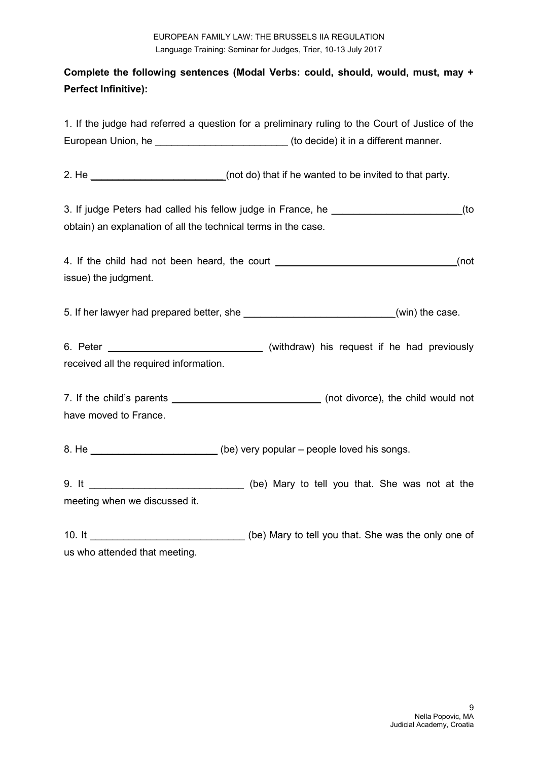# **Complete the following sentences (Modal Verbs: could, should, would, must, may + Perfect Infinitive):**

1. If the judge had referred a question for a preliminary ruling to the Court of Justice of the European Union, he **European Union, he contained a set of the example of the example of the European Union**, he

2. He \_\_\_\_\_\_\_\_\_\_\_\_\_\_\_\_\_\_\_\_\_\_\_\_(not do) that if he wanted to be invited to that party.

3. If judge Peters had called his fellow judge in France, he \_\_\_\_\_\_\_\_\_\_\_\_\_\_\_\_\_\_\_\_ (to obtain) an explanation of all the technical terms in the case.

4. If the child had not been heard, the court \_\_\_\_\_\_\_\_\_\_\_\_\_\_\_\_\_\_\_\_\_\_\_\_\_\_\_\_\_\_\_\_\_\_(not issue) the judgment.

5. If her lawyer had prepared better, she **the same of the case.** (win) the case.

6. Peter \_\_\_\_\_\_\_\_\_\_\_\_\_\_\_\_\_\_\_\_\_\_\_\_\_\_\_\_ (withdraw) his request if he had previously received all the required information.

7. If the child's parents \_\_\_\_\_\_\_\_\_\_\_\_\_\_\_\_\_\_\_\_\_\_\_\_\_\_\_ (not divorce), the child would not have moved to France.

8. He \_\_\_\_\_\_\_\_\_\_\_\_\_\_\_\_\_\_\_\_\_\_\_\_\_(be) very popular – people loved his songs.

9. It \_\_\_\_\_\_\_\_\_\_\_\_\_\_\_\_\_\_\_\_\_\_\_\_\_\_\_\_ (be) Mary to tell you that. She was not at the meeting when we discussed it.

10. It \_\_\_\_\_\_\_\_\_\_\_\_\_\_\_\_\_\_\_\_\_\_\_\_\_\_\_\_\_\_\_\_\_(be) Mary to tell you that. She was the only one of us who attended that meeting.